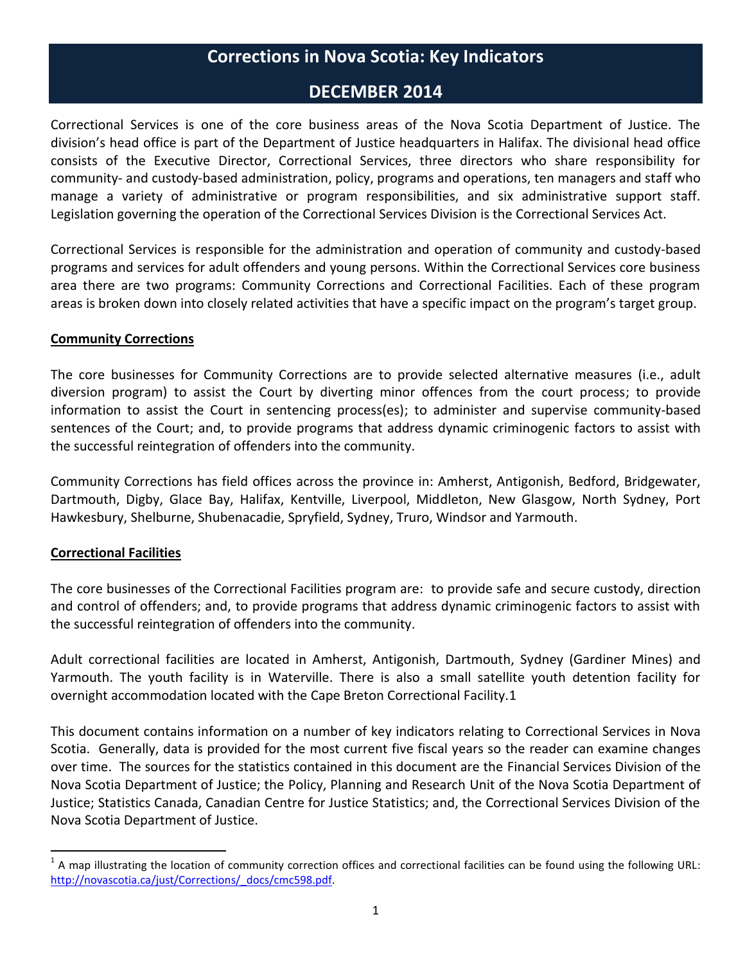# **Corrections in Nova Scotia: Key Indicators**

#### **DECEMBER 2014**

Correctional Services is one of the core business areas of the Nova Scotia Department of Justice. The division's head office is part of the Department of Justice headquarters in Halifax. The divisional head office consists of the Executive Director, Correctional Services, three directors who share responsibility for community- and custody-based administration, policy, programs and operations, ten managers and staff who manage a variety of administrative or program responsibilities, and six administrative support staff. Legislation governing the operation of the Correctional Services Division is the Correctional Services Act.

Correctional Services is responsible for the administration and operation of community and custody-based programs and services for adult offenders and young persons. Within the Correctional Services core business area there are two programs: Community Corrections and Correctional Facilities. Each of these program areas is broken down into closely related activities that have a specific impact on the program's target group.

#### **Community Corrections**

The core businesses for Community Corrections are to provide selected alternative measures (i.e., adult diversion program) to assist the Court by diverting minor offences from the court process; to provide information to assist the Court in sentencing process(es); to administer and supervise community-based sentences of the Court; and, to provide programs that address dynamic criminogenic factors to assist with the successful reintegration of offenders into the community.

Community Corrections has field offices across the province in: Amherst, Antigonish, Bedford, Bridgewater, Dartmouth, Digby, Glace Bay, Halifax, Kentville, Liverpool, Middleton, New Glasgow, North Sydney, Port Hawkesbury, Shelburne, Shubenacadie, Spryfield, Sydney, Truro, Windsor and Yarmouth.

#### **Correctional Facilities**

 $\overline{a}$ 

The core businesses of the Correctional Facilities program are: to provide safe and secure custody, direction and control of offenders; and, to provide programs that address dynamic criminogenic factors to assist with the successful reintegration of offenders into the community.

Adult correctional facilities are located in Amherst, Antigonish, Dartmouth, Sydney (Gardiner Mines) and Yarmouth. The youth facility is in Waterville. There is also a small satellite youth detention facility for overnight accommodation located with the Cape Breton Correctional Facility.1

This document contains information on a number of key indicators relating to Correctional Services in Nova Scotia. Generally, data is provided for the most current five fiscal years so the reader can examine changes over time. The sources for the statistics contained in this document are the Financial Services Division of the Nova Scotia Department of Justice; the Policy, Planning and Research Unit of the Nova Scotia Department of Justice; Statistics Canada, Canadian Centre for Justice Statistics; and, the Correctional Services Division of the Nova Scotia Department of Justice.

 $1$  A map illustrating the location of community correction offices and correctional facilities can be found using the following URL: [http://novascotia.ca/just/Corrections/\\_docs/cmc598.pdf.](http://novascotia.ca/just/Corrections/_docs/cmc598.pdf)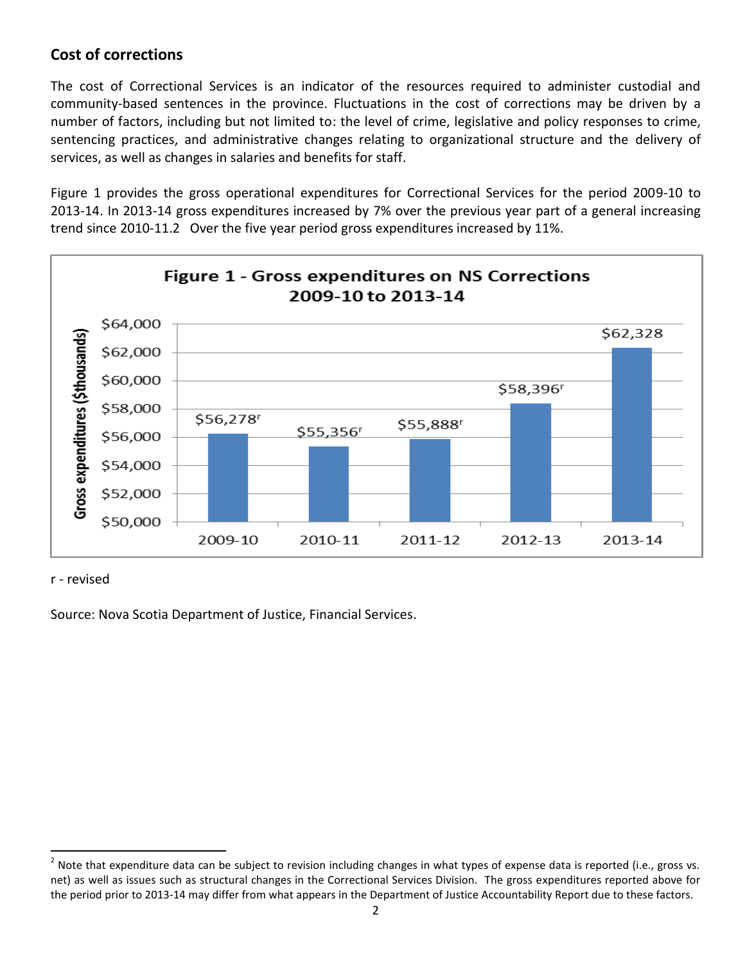### **Cost of corrections**

The cost of Correctional Services is an indicator of the resources required to administer custodial and community-based sentences in the province. Fluctuations in the cost of corrections may be driven by a number of factors, including but not limited to: the level of crime, legislative and policy responses to crime, sentencing practices, and administrative changes relating to organizational structure and the delivery of services, as well as changes in salaries and benefits for staff.

Figure 1 provides the gross operational expenditures for Correctional Services for the period 2009-10 to 2013-14. In 2013-14 gross expenditures increased by 7% over the previous year part of a general increasing trend since 2010-11.2 Over the five year period gross expenditures increased by 11%.



r - revised

Source: Nova Scotia Department of Justice, Financial Services.

**<sup>2</sup>**<br><sup>2</sup> Note that expenditure data can be subject to revision including changes in what types of expense data is reported (i.e., gross vs. net) as well as issues such as structural changes in the Correctional Services Division. The gross expenditures reported above for the period prior to 2013-14 may differ from what appears in the Department of Justice Accountability Report due to these factors.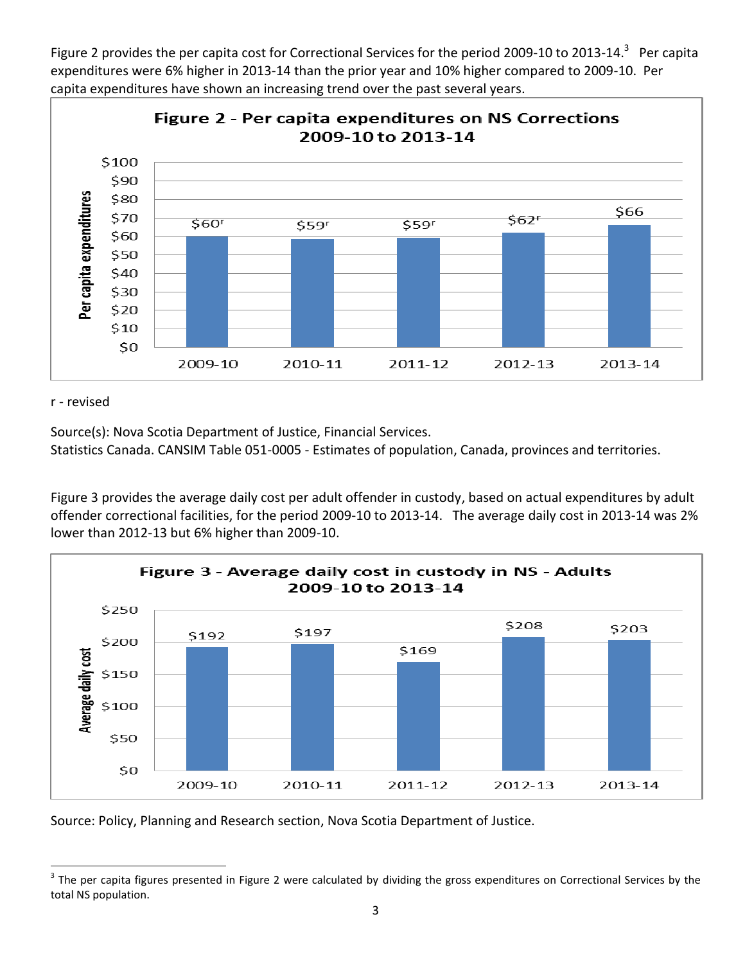Figure 2 provides the per capita cost for Correctional Services for the period 2009-10 to 2013-14.<sup>3</sup> Per capita expenditures were 6% higher in 2013-14 than the prior year and 10% higher compared to 2009-10. Per capita expenditures have shown an increasing trend over the past several years.



#### r - revised

Source(s): Nova Scotia Department of Justice, Financial Services.

Statistics Canada. CANSIM Table 051-0005 - Estimates of population, Canada, provinces and territories.

Figure 3 provides the average daily cost per adult offender in custody, based on actual expenditures by adult offender correctional facilities, for the period 2009-10 to 2013-14. The average daily cost in 2013-14 was 2% lower than 2012-13 but 6% higher than 2009-10.



Source: Policy, Planning and Research section, Nova Scotia Department of Justice.

 $\overline{\phantom{a}}$  $^3$  The per capita figures presented in Figure 2 were calculated by dividing the gross expenditures on Correctional Services by the total NS population.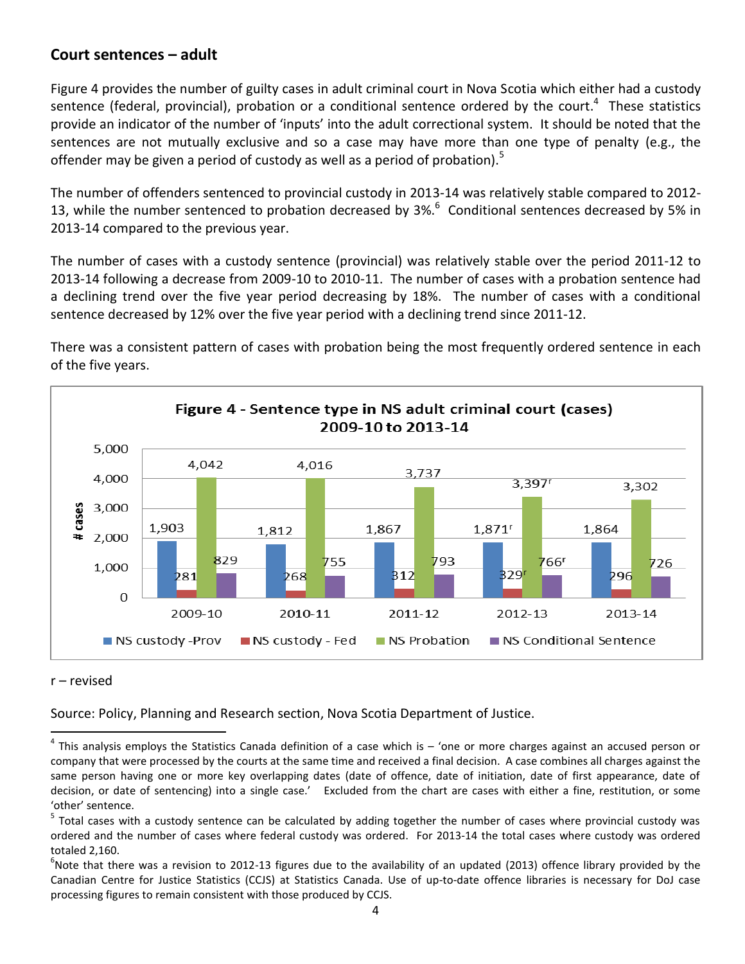#### **Court sentences – adult**

Figure 4 provides the number of guilty cases in adult criminal court in Nova Scotia which either had a custody sentence (federal, provincial), probation or a conditional sentence ordered by the court.<sup>4</sup> These statistics provide an indicator of the number of 'inputs' into the adult correctional system. It should be noted that the sentences are not mutually exclusive and so a case may have more than one type of penalty (e.g., the offender may be given a period of custody as well as a period of probation).<sup>5</sup>

The number of offenders sentenced to provincial custody in 2013-14 was relatively stable compared to 2012- 13, while the number sentenced to probation decreased by  $3\%$ . Conditional sentences decreased by 5% in 2013-14 compared to the previous year.

The number of cases with a custody sentence (provincial) was relatively stable over the period 2011-12 to 2013-14 following a decrease from 2009-10 to 2010-11. The number of cases with a probation sentence had a declining trend over the five year period decreasing by 18%. The number of cases with a conditional sentence decreased by 12% over the five year period with a declining trend since 2011-12.

There was a consistent pattern of cases with probation being the most frequently ordered sentence in each of the five years.



#### r – revised

Source: Policy, Planning and Research section, Nova Scotia Department of Justice.

 $\overline{\phantom{a}}$  $^4$  This analysis employs the Statistics Canada definition of a case which is  $-$  'one or more charges against an accused person or company that were processed by the courts at the same time and received a final decision. A case combines all charges against the same person having one or more key overlapping dates (date of offence, date of initiation, date of first appearance, date of decision, or date of sentencing) into a single case.' Excluded from the chart are cases with either a fine, restitution, or some 'other' sentence.

<sup>&</sup>lt;sup>5</sup> Total cases with a custody sentence can be calculated by adding together the number of cases where provincial custody was ordered and the number of cases where federal custody was ordered. For 2013-14 the total cases where custody was ordered totaled 2,160.

 $^6$ Note that there was a revision to 2012-13 figures due to the availability of an updated (2013) offence library provided by the Canadian Centre for Justice Statistics (CCJS) at Statistics Canada. Use of up-to-date offence libraries is necessary for DoJ case processing figures to remain consistent with those produced by CCJS.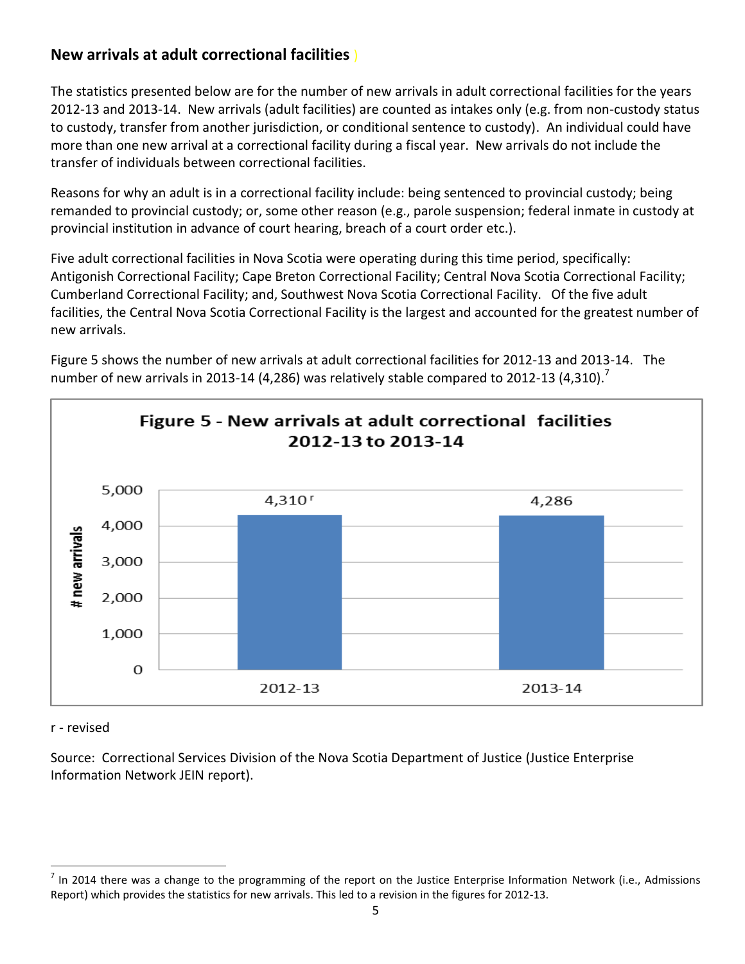# **New arrivals at adult correctional facilities** )

The statistics presented below are for the number of new arrivals in adult correctional facilities for the years 2012-13 and 2013-14. New arrivals (adult facilities) are counted as intakes only (e.g. from non-custody status to custody, transfer from another jurisdiction, or conditional sentence to custody). An individual could have more than one new arrival at a correctional facility during a fiscal year. New arrivals do not include the transfer of individuals between correctional facilities.

Reasons for why an adult is in a correctional facility include: being sentenced to provincial custody; being remanded to provincial custody; or, some other reason (e.g., parole suspension; federal inmate in custody at provincial institution in advance of court hearing, breach of a court order etc.).

Five adult correctional facilities in Nova Scotia were operating during this time period, specifically: Antigonish Correctional Facility; Cape Breton Correctional Facility; Central Nova Scotia Correctional Facility; Cumberland Correctional Facility; and, Southwest Nova Scotia Correctional Facility. Of the five adult facilities, the Central Nova Scotia Correctional Facility is the largest and accounted for the greatest number of new arrivals.

Figure 5 shows the number of new arrivals at adult correctional facilities for 2012-13 and 2013-14. The number of new arrivals in 2013-14 (4,286) was relatively stable compared to 2012-13 (4,310).<sup>7</sup>



#### r - revised

Source: Correctional Services Division of the Nova Scotia Department of Justice (Justice Enterprise Information Network JEIN report).

 $\overline{\phantom{a}}$  $^7$  In 2014 there was a change to the programming of the report on the Justice Enterprise Information Network (i.e., Admissions Report) which provides the statistics for new arrivals. This led to a revision in the figures for 2012-13.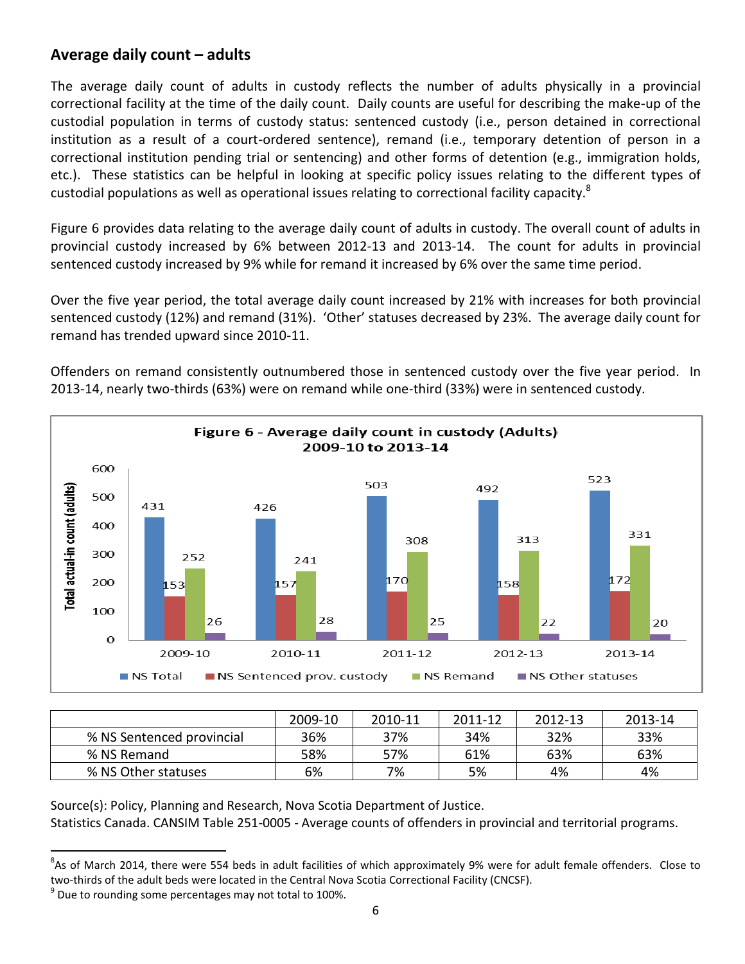### **Average daily count – adults**

The average daily count of adults in custody reflects the number of adults physically in a provincial correctional facility at the time of the daily count. Daily counts are useful for describing the make-up of the custodial population in terms of custody status: sentenced custody (i.e., person detained in correctional institution as a result of a court-ordered sentence), remand (i.e., temporary detention of person in a correctional institution pending trial or sentencing) and other forms of detention (e.g., immigration holds, etc.). These statistics can be helpful in looking at specific policy issues relating to the different types of custodial populations as well as operational issues relating to correctional facility capacity.<sup>8</sup>

Figure 6 provides data relating to the average daily count of adults in custody. The overall count of adults in provincial custody increased by 6% between 2012-13 and 2013-14. The count for adults in provincial sentenced custody increased by 9% while for remand it increased by 6% over the same time period.

Over the five year period, the total average daily count increased by 21% with increases for both provincial sentenced custody (12%) and remand (31%). 'Other' statuses decreased by 23%. The average daily count for remand has trended upward since 2010-11.

Offenders on remand consistently outnumbered those in sentenced custody over the five year period. In 2013-14, nearly two-thirds (63%) were on remand while one-third (33%) were in sentenced custody.



|                           | 2009-10 | 2010-11 | 2011-12 | 2012-13 | 2013-14 |
|---------------------------|---------|---------|---------|---------|---------|
| % NS Sentenced provincial | 36%     | 37%     | 34%     | 32%     | 33%     |
| % NS Remand               | 58%     | 57%     | 61%     | 63%     | 63%     |
| % NS Other statuses       | 6%      | 7%      | 5%      | 4%      | 4%      |

Source(s): Policy, Planning and Research, Nova Scotia Department of Justice. Statistics Canada. CANSIM Table 251-0005 - Average counts of offenders in provincial and territorial programs.

 8 As of March 2014, there were 554 beds in adult facilities of which approximately 9% were for adult female offenders. Close to two-thirds of the adult beds were located in the Central Nova Scotia Correctional Facility (CNCSF).

 $^9$  Due to rounding some percentages may not total to 100%.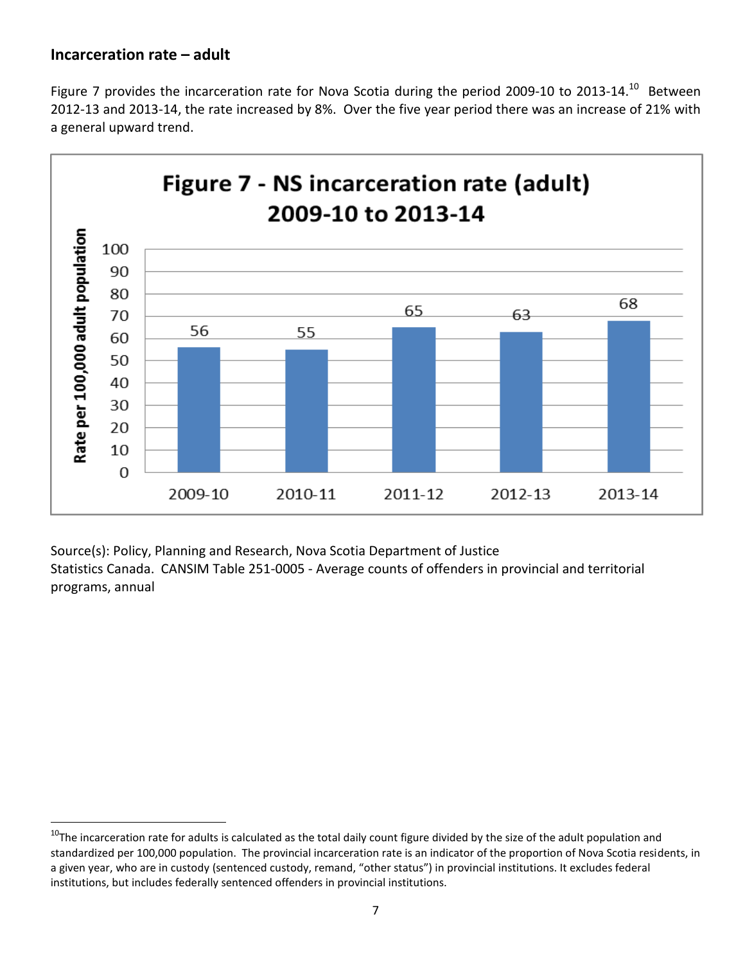#### **Incarceration rate – adult**

 $\overline{\phantom{a}}$ 

Figure 7 provides the incarceration rate for Nova Scotia during the period 2009-10 to 2013-14.<sup>10</sup> Between 2012-13 and 2013-14, the rate increased by 8%. Over the five year period there was an increase of 21% with a general upward trend.



Source(s): Policy, Planning and Research, Nova Scotia Department of Justice Statistics Canada. CANSIM Table 251-0005 - Average counts of offenders in provincial and territorial programs, annual

 $10$ The incarceration rate for adults is calculated as the total daily count figure divided by the size of the adult population and standardized per 100,000 population. The provincial incarceration rate is an indicator of the proportion of Nova Scotia residents, in a given year, who are in custody (sentenced custody, remand, "other status") in provincial institutions. It excludes federal institutions, but includes federally sentenced offenders in provincial institutions.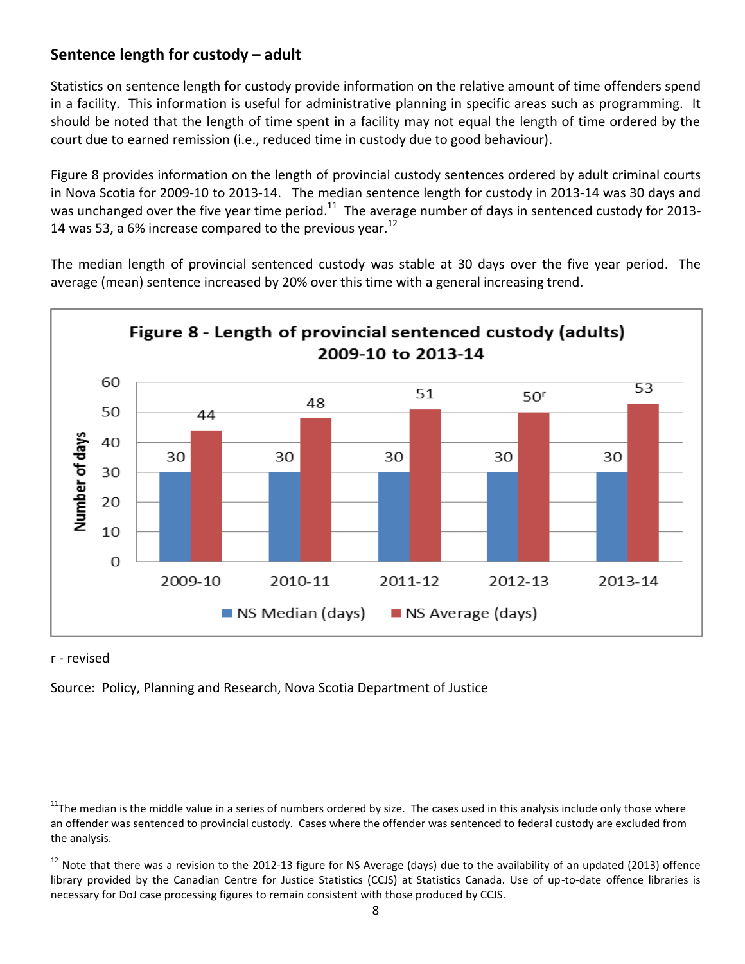## **Sentence length for custody – adult**

Statistics on sentence length for custody provide information on the relative amount of time offenders spend in a facility. This information is useful for administrative planning in specific areas such as programming. It should be noted that the length of time spent in a facility may not equal the length of time ordered by the court due to earned remission (i.e., reduced time in custody due to good behaviour).

Figure 8 provides information on the length of provincial custody sentences ordered by adult criminal courts in Nova Scotia for 2009-10 to 2013-14. The median sentence length for custody in 2013-14 was 30 days and was unchanged over the five year time period. $^{11}$  The average number of days in sentenced custody for 2013-14 was 53, a 6% increase compared to the previous year.<sup>12</sup>

The median length of provincial sentenced custody was stable at 30 days over the five year period. The average (mean) sentence increased by 20% over this time with a general increasing trend.



#### r - revised

 $\overline{\phantom{a}}$ 

Source: Policy, Planning and Research, Nova Scotia Department of Justice

<sup>&</sup>lt;sup>11</sup>The median is the middle value in a series of numbers ordered by size. The cases used in this analysis include only those where an offender was sentenced to provincial custody. Cases where the offender was sentenced to federal custody are excluded from the analysis.

<sup>&</sup>lt;sup>12</sup> Note that there was a revision to the 2012-13 figure for NS Average (days) due to the availability of an updated (2013) offence library provided by the Canadian Centre for Justice Statistics (CCJS) at Statistics Canada. Use of up-to-date offence libraries is necessary for DoJ case processing figures to remain consistent with those produced by CCJS.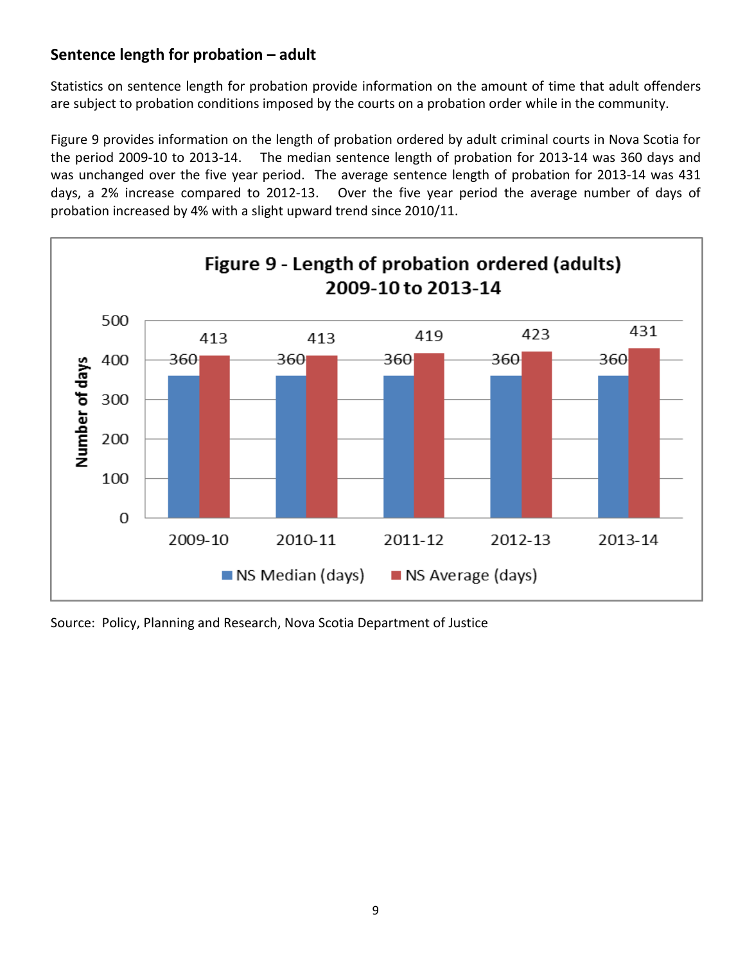# **Sentence length for probation – adult**

Statistics on sentence length for probation provide information on the amount of time that adult offenders are subject to probation conditions imposed by the courts on a probation order while in the community.

Figure 9 provides information on the length of probation ordered by adult criminal courts in Nova Scotia for the period 2009-10 to 2013-14. The median sentence length of probation for 2013-14 was 360 days and was unchanged over the five year period. The average sentence length of probation for 2013-14 was 431 days, a 2% increase compared to 2012-13. Over the five year period the average number of days of probation increased by 4% with a slight upward trend since 2010/11.



Source: Policy, Planning and Research, Nova Scotia Department of Justice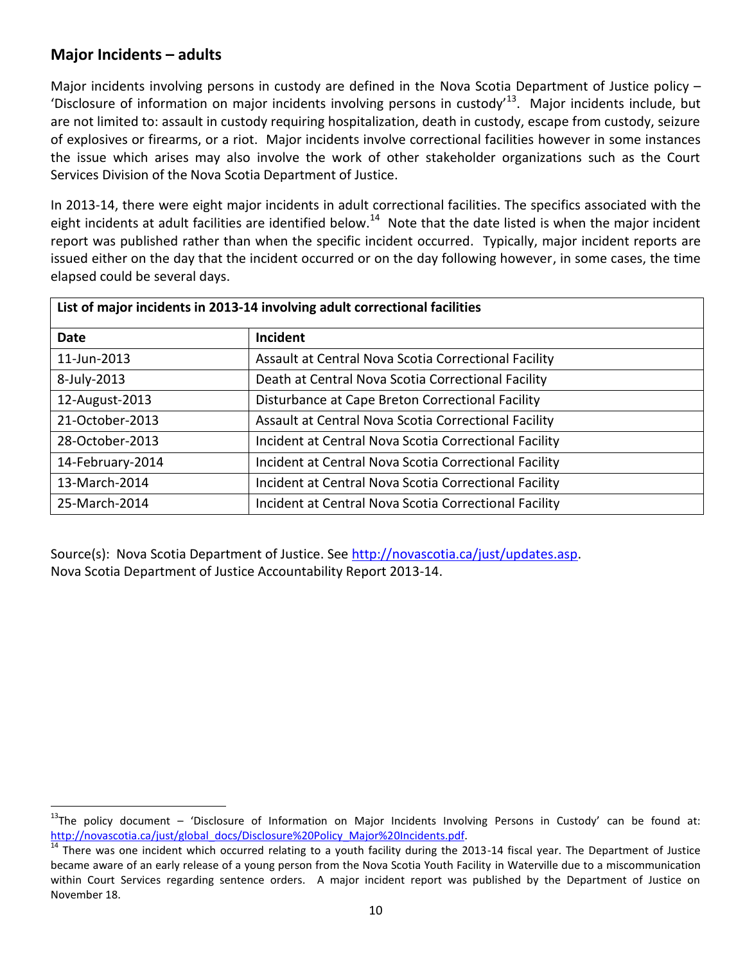## **Major Incidents – adults**

Major incidents involving persons in custody are defined in the Nova Scotia Department of Justice policy – 'Disclosure of information on major incidents involving persons in custody<sup>13</sup>. Major incidents include, but are not limited to: assault in custody requiring hospitalization, death in custody, escape from custody, seizure of explosives or firearms, or a riot. Major incidents involve correctional facilities however in some instances the issue which arises may also involve the work of other stakeholder organizations such as the Court Services Division of the Nova Scotia Department of Justice.

In 2013-14, there were eight major incidents in adult correctional facilities. The specifics associated with the eight incidents at adult facilities are identified below.<sup>14</sup> Note that the date listed is when the major incident report was published rather than when the specific incident occurred. Typically, major incident reports are issued either on the day that the incident occurred or on the day following however, in some cases, the time elapsed could be several days.

| List of major incidents in 2013-14 involving adult correctional facilities |                                                       |  |  |  |  |
|----------------------------------------------------------------------------|-------------------------------------------------------|--|--|--|--|
| <b>Date</b>                                                                | Incident                                              |  |  |  |  |
| 11-Jun-2013                                                                | Assault at Central Nova Scotia Correctional Facility  |  |  |  |  |
| 8-July-2013                                                                | Death at Central Nova Scotia Correctional Facility    |  |  |  |  |
| 12-August-2013                                                             | Disturbance at Cape Breton Correctional Facility      |  |  |  |  |
| 21-October-2013                                                            | Assault at Central Nova Scotia Correctional Facility  |  |  |  |  |
| 28-October-2013                                                            | Incident at Central Nova Scotia Correctional Facility |  |  |  |  |
| 14-February-2014                                                           | Incident at Central Nova Scotia Correctional Facility |  |  |  |  |
| 13-March-2014                                                              | Incident at Central Nova Scotia Correctional Facility |  |  |  |  |
| 25-March-2014                                                              | Incident at Central Nova Scotia Correctional Facility |  |  |  |  |

Source(s): Nova Scotia Department of Justice. See [http://novascotia.ca/just/updates.asp.](http://novascotia.ca/just/updates.asp) Nova Scotia Department of Justice Accountability Report 2013-14.

l  $13$ The policy document – 'Disclosure of Information on Major Incidents Involving Persons in Custody' can be found at: [http://novascotia.ca/just/global\\_docs/Disclosure%20Policy\\_Major%20Incidents.pdf.](http://novascotia.ca/just/global_docs/Disclosure%20Policy_Major%20Incidents.pdf)

 $14$  There was one incident which occurred relating to a youth facility during the 2013-14 fiscal year. The Department of Justice became aware of an early release of a young person from the Nova Scotia Youth Facility in Waterville due to a miscommunication within Court Services regarding sentence orders. A major incident report was published by the Department of Justice on November 18.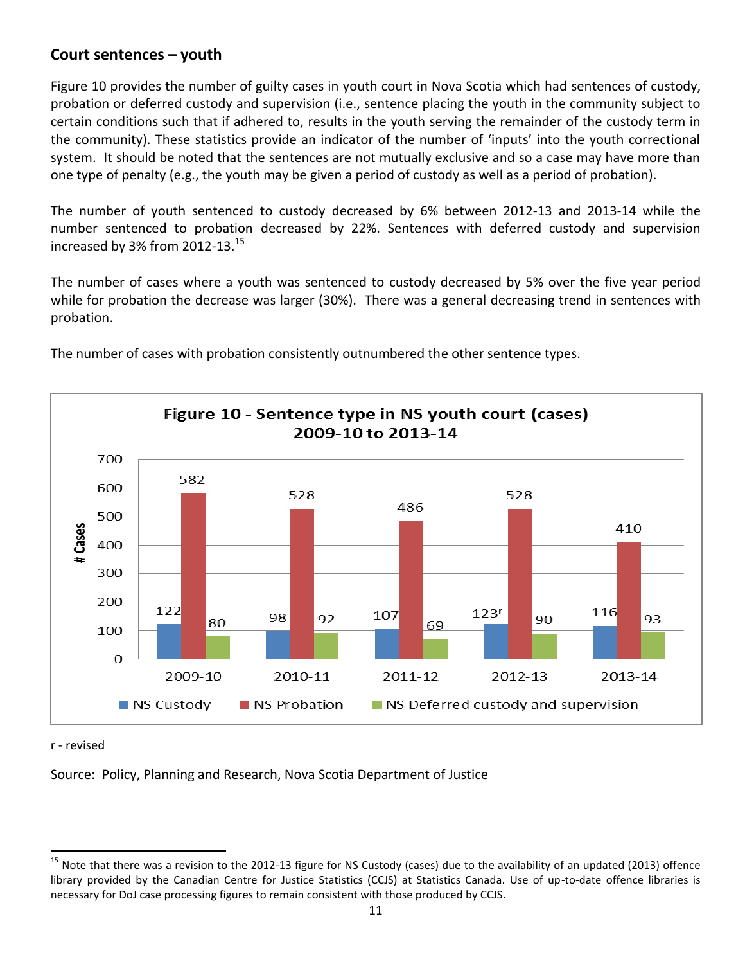#### **Court sentences – youth**

Figure 10 provides the number of guilty cases in youth court in Nova Scotia which had sentences of custody, probation or deferred custody and supervision (i.e., sentence placing the youth in the community subject to certain conditions such that if adhered to, results in the youth serving the remainder of the custody term in the community). These statistics provide an indicator of the number of 'inputs' into the youth correctional system. It should be noted that the sentences are not mutually exclusive and so a case may have more than one type of penalty (e.g., the youth may be given a period of custody as well as a period of probation).

The number of youth sentenced to custody decreased by 6% between 2012-13 and 2013-14 while the number sentenced to probation decreased by 22%. Sentences with deferred custody and supervision increased by 3% from 2012-13. $^{15}$ 

The number of cases where a youth was sentenced to custody decreased by 5% over the five year period while for probation the decrease was larger (30%). There was a general decreasing trend in sentences with probation.



The number of cases with probation consistently outnumbered the other sentence types.

r - revised

 $\overline{a}$ 

Source: Policy, Planning and Research, Nova Scotia Department of Justice

<sup>&</sup>lt;sup>15</sup> Note that there was a revision to the 2012-13 figure for NS Custody (cases) due to the availability of an updated (2013) offence library provided by the Canadian Centre for Justice Statistics (CCJS) at Statistics Canada. Use of up-to-date offence libraries is necessary for DoJ case processing figures to remain consistent with those produced by CCJS.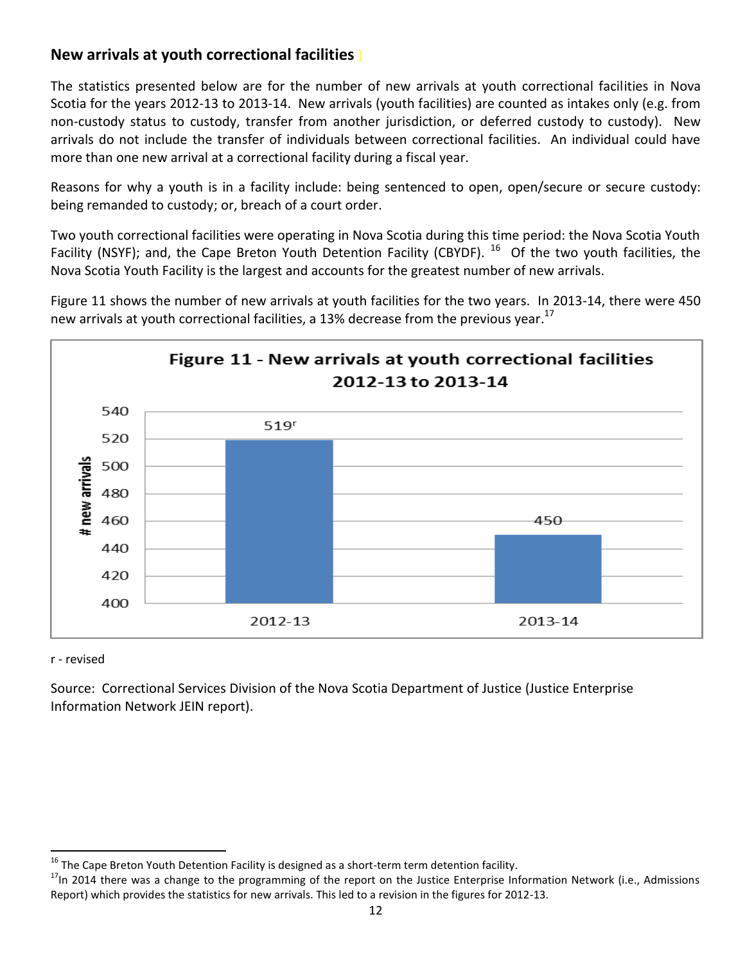## **New arrivals at youth correctional facilities** )

The statistics presented below are for the number of new arrivals at youth correctional facilities in Nova Scotia for the years 2012-13 to 2013-14. New arrivals (youth facilities) are counted as intakes only (e.g. from non-custody status to custody, transfer from another jurisdiction, or deferred custody to custody). New arrivals do not include the transfer of individuals between correctional facilities. An individual could have more than one new arrival at a correctional facility during a fiscal year.

Reasons for why a youth is in a facility include: being sentenced to open, open/secure or secure custody: being remanded to custody; or, breach of a court order.

Two youth correctional facilities were operating in Nova Scotia during this time period: the Nova Scotia Youth Facility (NSYF); and, the Cape Breton Youth Detention Facility (CBYDF). <sup>16</sup> Of the two youth facilities, the Nova Scotia Youth Facility is the largest and accounts for the greatest number of new arrivals.

Figure 11 shows the number of new arrivals at youth facilities for the two years. In 2013-14, there were 450 new arrivals at youth correctional facilities, a 13% decrease from the previous year.<sup>17</sup>



#### r - revised

 $\overline{a}$ 

Source: Correctional Services Division of the Nova Scotia Department of Justice (Justice Enterprise Information Network JEIN report).

 $^{16}$  The Cape Breton Youth Detention Facility is designed as a short-term term detention facility.

<sup>&</sup>lt;sup>17</sup>In 2014 there was a change to the programming of the report on the Justice Enterprise Information Network (i.e., Admissions Report) which provides the statistics for new arrivals. This led to a revision in the figures for 2012-13.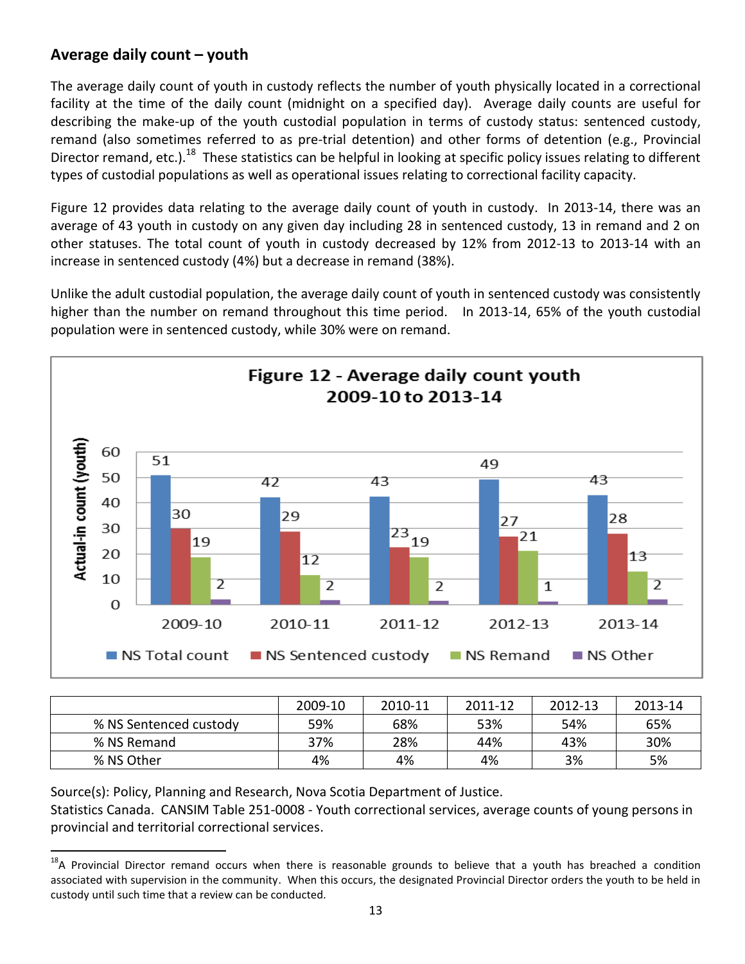## **Average daily count – youth**

The average daily count of youth in custody reflects the number of youth physically located in a correctional facility at the time of the daily count (midnight on a specified day). Average daily counts are useful for describing the make-up of the youth custodial population in terms of custody status: sentenced custody, remand (also sometimes referred to as pre-trial detention) and other forms of detention (e.g., Provincial Director remand, etc.).<sup>18</sup> These statistics can be helpful in looking at specific policy issues relating to different types of custodial populations as well as operational issues relating to correctional facility capacity.

Figure 12 provides data relating to the average daily count of youth in custody. In 2013-14, there was an average of 43 youth in custody on any given day including 28 in sentenced custody, 13 in remand and 2 on other statuses. The total count of youth in custody decreased by 12% from 2012-13 to 2013-14 with an increase in sentenced custody (4%) but a decrease in remand (38%).

Unlike the adult custodial population, the average daily count of youth in sentenced custody was consistently higher than the number on remand throughout this time period. In 2013-14, 65% of the youth custodial population were in sentenced custody, while 30% were on remand.



|                        | 2009-10 | 2010-11 | 2011-12 | 2012-13 | 2013-14 |
|------------------------|---------|---------|---------|---------|---------|
| % NS Sentenced custody | 59%     | 68%     | 53%     | 54%     | 65%     |
| % NS Remand            | 37%     | 28%     | 44%     | 43%     | 30%     |
| % NS Other             | 4%      | 4%      | 4%      | 3%      | 5%      |

Source(s): Policy, Planning and Research, Nova Scotia Department of Justice. Statistics Canada. CANSIM Table 251-0008 - Youth correctional services, average counts of young persons in provincial and territorial correctional services.

 $\overline{a}$ <sup>18</sup>A Provincial Director remand occurs when there is reasonable grounds to believe that a youth has breached a condition associated with supervision in the community. When this occurs, the designated Provincial Director orders the youth to be held in custody until such time that a review can be conducted.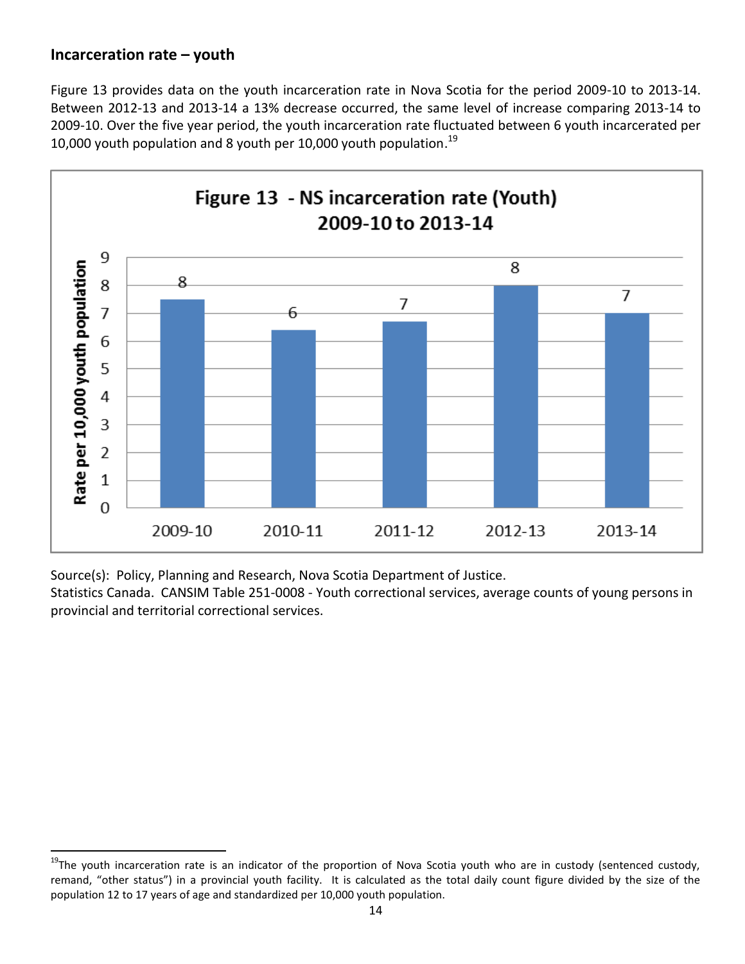### **Incarceration rate – youth**

 $\overline{a}$ 

Figure 13 provides data on the youth incarceration rate in Nova Scotia for the period 2009-10 to 2013-14. Between 2012-13 and 2013-14 a 13% decrease occurred, the same level of increase comparing 2013-14 to 2009-10. Over the five year period, the youth incarceration rate fluctuated between 6 youth incarcerated per 10,000 youth population and 8 youth per 10,000 youth population.<sup>19</sup>



Source(s): Policy, Planning and Research, Nova Scotia Department of Justice.

Statistics Canada. CANSIM Table 251-0008 - Youth correctional services, average counts of young persons in provincial and territorial correctional services.

<sup>&</sup>lt;sup>19</sup>The youth incarceration rate is an indicator of the proportion of Nova Scotia youth who are in custody (sentenced custody, remand, "other status") in a provincial youth facility. It is calculated as the total daily count figure divided by the size of the population 12 to 17 years of age and standardized per 10,000 youth population.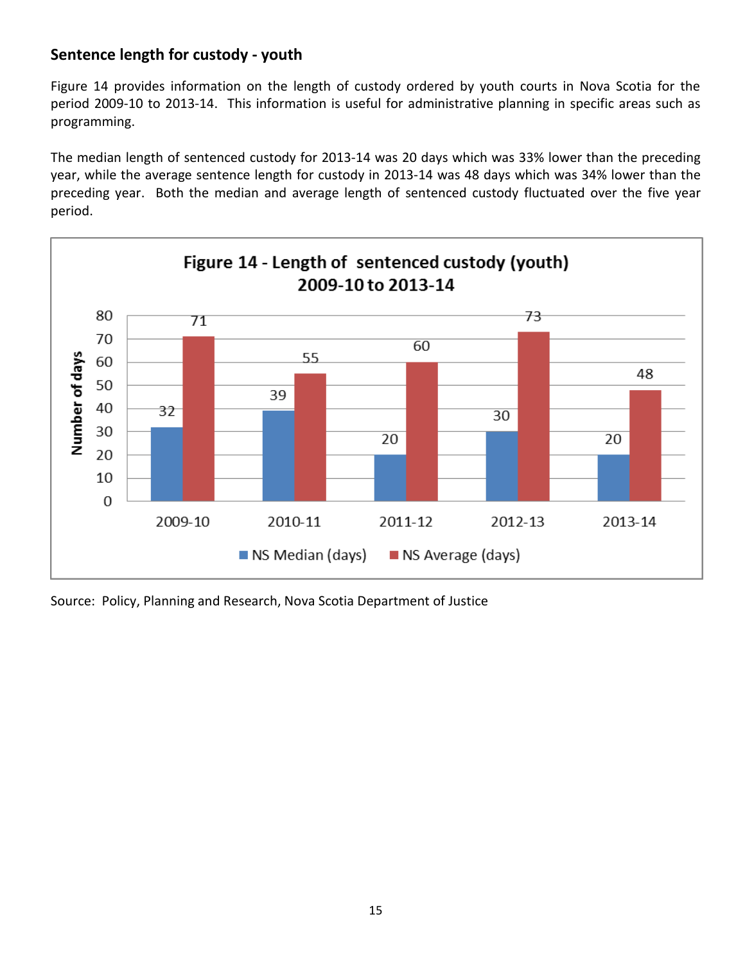# **Sentence length for custody - youth**

Figure 14 provides information on the length of custody ordered by youth courts in Nova Scotia for the period 2009-10 to 2013-14. This information is useful for administrative planning in specific areas such as programming.

The median length of sentenced custody for 2013-14 was 20 days which was 33% lower than the preceding year, while the average sentence length for custody in 2013-14 was 48 days which was 34% lower than the preceding year. Both the median and average length of sentenced custody fluctuated over the five year period.



Source: Policy, Planning and Research, Nova Scotia Department of Justice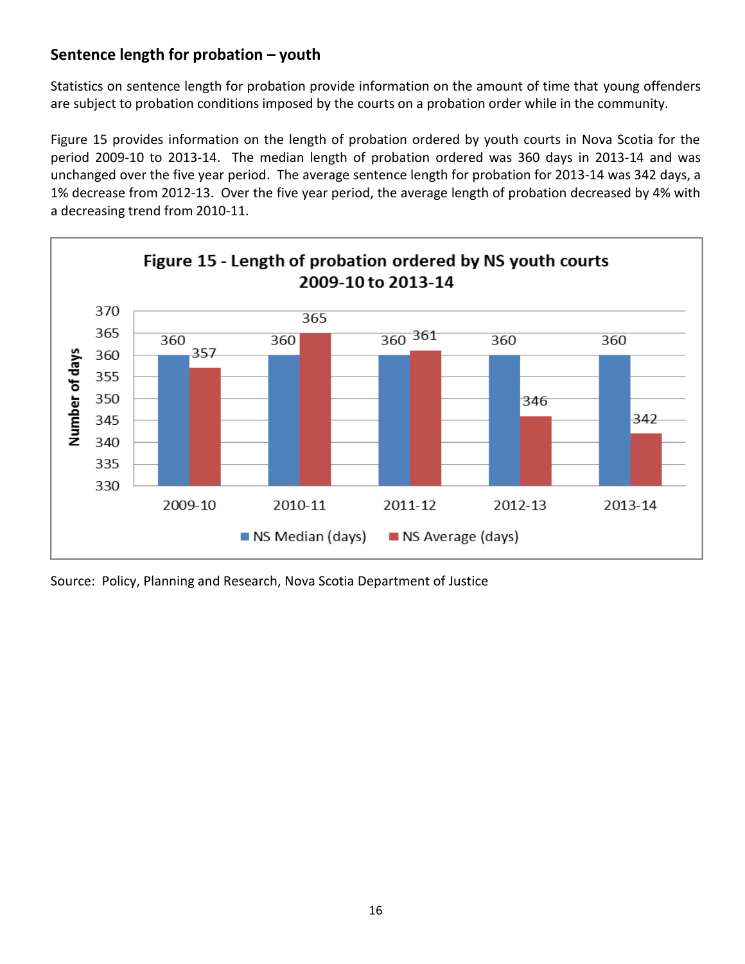# **Sentence length for probation – youth**

Statistics on sentence length for probation provide information on the amount of time that young offenders are subject to probation conditions imposed by the courts on a probation order while in the community.

Figure 15 provides information on the length of probation ordered by youth courts in Nova Scotia for the period 2009-10 to 2013-14. The median length of probation ordered was 360 days in 2013-14 and was unchanged over the five year period. The average sentence length for probation for 2013-14 was 342 days, a 1% decrease from 2012-13. Over the five year period, the average length of probation decreased by 4% with a decreasing trend from 2010-11.



Source: Policy, Planning and Research, Nova Scotia Department of Justice